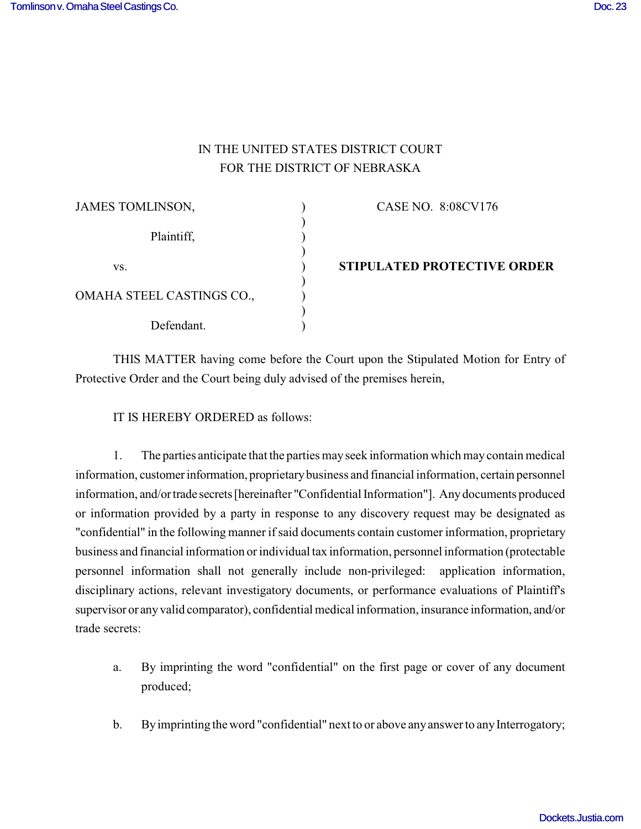## IN THE UNITED STATES DISTRICT COURT FOR THE DISTRICT OF NEBRASKA

| JAMES TOMLINSON,          | CASE NO. 8:08CV176                 |
|---------------------------|------------------------------------|
| Plaintiff,                |                                    |
| VS.                       | <b>STIPULATED PROTECTIVE ORDER</b> |
| OMAHA STEEL CASTINGS CO., |                                    |
| Defendant.                |                                    |

THIS MATTER having come before the Court upon the Stipulated Motion for Entry of Protective Order and the Court being duly advised of the premises herein,

IT IS HEREBY ORDERED as follows:

1. The parties anticipate that the parties may seek information which may contain medical information, customer information, proprietary business and financial information, certain personnel information, and/or trade secrets [hereinafter "Confidential Information"]. Any documents produced or information provided by a party in response to any discovery request may be designated as "confidential" in the following manner if said documents contain customer information, proprietary business and financial information or individual tax information, personnel information (protectable personnel information shall not generally include non-privileged: application information, disciplinary actions, relevant investigatory documents, or performance evaluations of Plaintiff's supervisor or any valid comparator), confidential medical information, insurance information, and/or trade secrets:

- a. By imprinting the word "confidential" on the first page or cover of any document produced;
- b. By imprinting the word "confidential" next to or above any answer to any Interrogatory;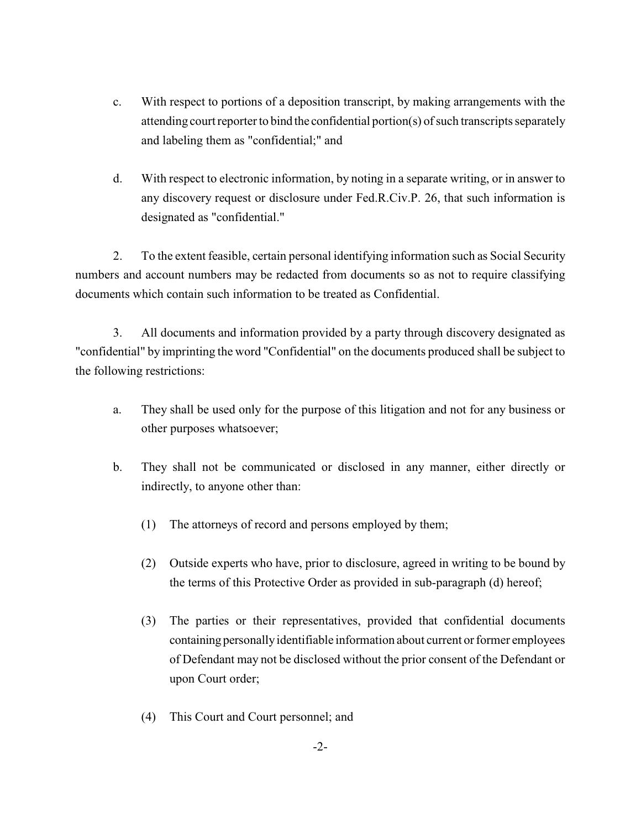- c. With respect to portions of a deposition transcript, by making arrangements with the attending court reporter to bind the confidential portion(s) of such transcripts separately and labeling them as "confidential;" and
- d. With respect to electronic information, by noting in a separate writing, or in answer to any discovery request or disclosure under Fed.R.Civ.P. 26, that such information is designated as "confidential."

2. To the extent feasible, certain personal identifying information such as Social Security numbers and account numbers may be redacted from documents so as not to require classifying documents which contain such information to be treated as Confidential.

3. All documents and information provided by a party through discovery designated as "confidential" by imprinting the word "Confidential" on the documents produced shall be subject to the following restrictions:

- a. They shall be used only for the purpose of this litigation and not for any business or other purposes whatsoever;
- b. They shall not be communicated or disclosed in any manner, either directly or indirectly, to anyone other than:
	- (1) The attorneys of record and persons employed by them;
	- (2) Outside experts who have, prior to disclosure, agreed in writing to be bound by the terms of this Protective Order as provided in sub-paragraph (d) hereof;
	- (3) The parties or their representatives, provided that confidential documents containing personally identifiable information about current or former employees of Defendant may not be disclosed without the prior consent of the Defendant or upon Court order;
	- (4) This Court and Court personnel; and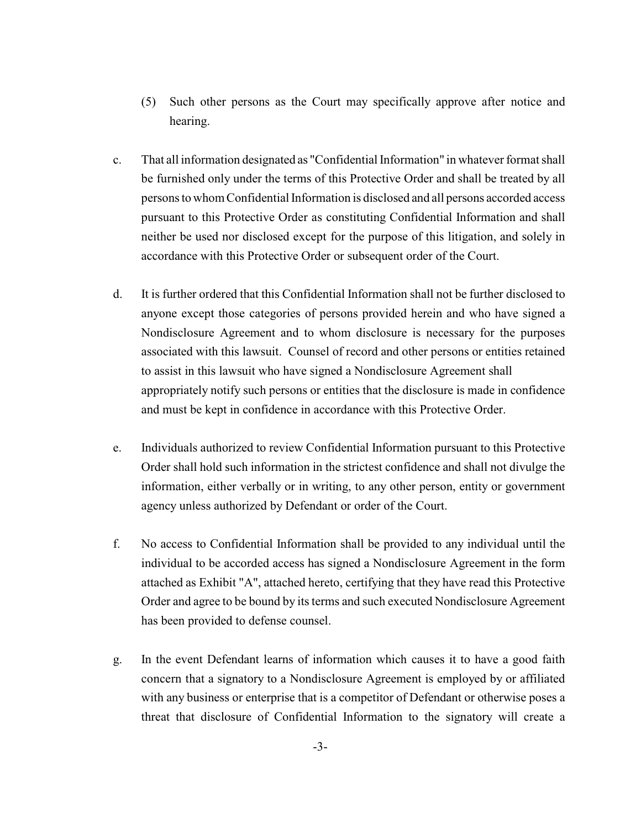- (5) Such other persons as the Court may specifically approve after notice and hearing.
- c. That all information designated as "Confidential Information" in whatever format shall be furnished only under the terms of this Protective Order and shall be treated by all persons to whom Confidential Information is disclosed and all persons accorded access pursuant to this Protective Order as constituting Confidential Information and shall neither be used nor disclosed except for the purpose of this litigation, and solely in accordance with this Protective Order or subsequent order of the Court.
- d. It is further ordered that this Confidential Information shall not be further disclosed to anyone except those categories of persons provided herein and who have signed a Nondisclosure Agreement and to whom disclosure is necessary for the purposes associated with this lawsuit. Counsel of record and other persons or entities retained to assist in this lawsuit who have signed a Nondisclosure Agreement shall appropriately notify such persons or entities that the disclosure is made in confidence and must be kept in confidence in accordance with this Protective Order.
- e. Individuals authorized to review Confidential Information pursuant to this Protective Order shall hold such information in the strictest confidence and shall not divulge the information, either verbally or in writing, to any other person, entity or government agency unless authorized by Defendant or order of the Court.
- f. No access to Confidential Information shall be provided to any individual until the individual to be accorded access has signed a Nondisclosure Agreement in the form attached as Exhibit "A", attached hereto, certifying that they have read this Protective Order and agree to be bound by its terms and such executed Nondisclosure Agreement has been provided to defense counsel.
- g. In the event Defendant learns of information which causes it to have a good faith concern that a signatory to a Nondisclosure Agreement is employed by or affiliated with any business or enterprise that is a competitor of Defendant or otherwise poses a threat that disclosure of Confidential Information to the signatory will create a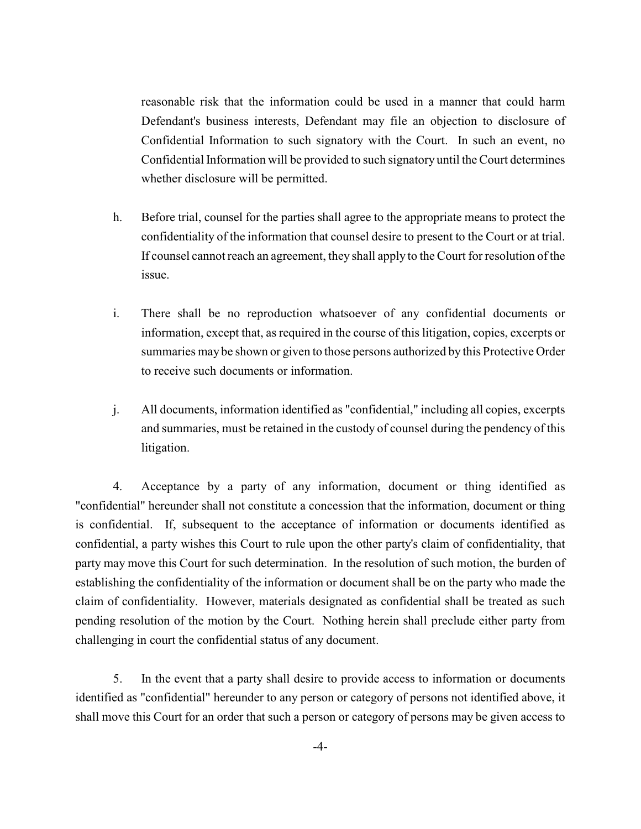reasonable risk that the information could be used in a manner that could harm Defendant's business interests, Defendant may file an objection to disclosure of Confidential Information to such signatory with the Court. In such an event, no Confidential Information will be provided to such signatory until the Court determines whether disclosure will be permitted.

- h. Before trial, counsel for the parties shall agree to the appropriate means to protect the confidentiality of the information that counsel desire to present to the Court or at trial. If counsel cannot reach an agreement, they shall apply to the Court for resolution of the issue.
- i. There shall be no reproduction whatsoever of any confidential documents or information, except that, as required in the course of this litigation, copies, excerpts or summaries may be shown or given to those persons authorized by this Protective Order to receive such documents or information.
- j. All documents, information identified as "confidential," including all copies, excerpts and summaries, must be retained in the custody of counsel during the pendency of this litigation.

4. Acceptance by a party of any information, document or thing identified as "confidential" hereunder shall not constitute a concession that the information, document or thing is confidential. If, subsequent to the acceptance of information or documents identified as confidential, a party wishes this Court to rule upon the other party's claim of confidentiality, that party may move this Court for such determination. In the resolution of such motion, the burden of establishing the confidentiality of the information or document shall be on the party who made the claim of confidentiality. However, materials designated as confidential shall be treated as such pending resolution of the motion by the Court. Nothing herein shall preclude either party from challenging in court the confidential status of any document.

5. In the event that a party shall desire to provide access to information or documents identified as "confidential" hereunder to any person or category of persons not identified above, it shall move this Court for an order that such a person or category of persons may be given access to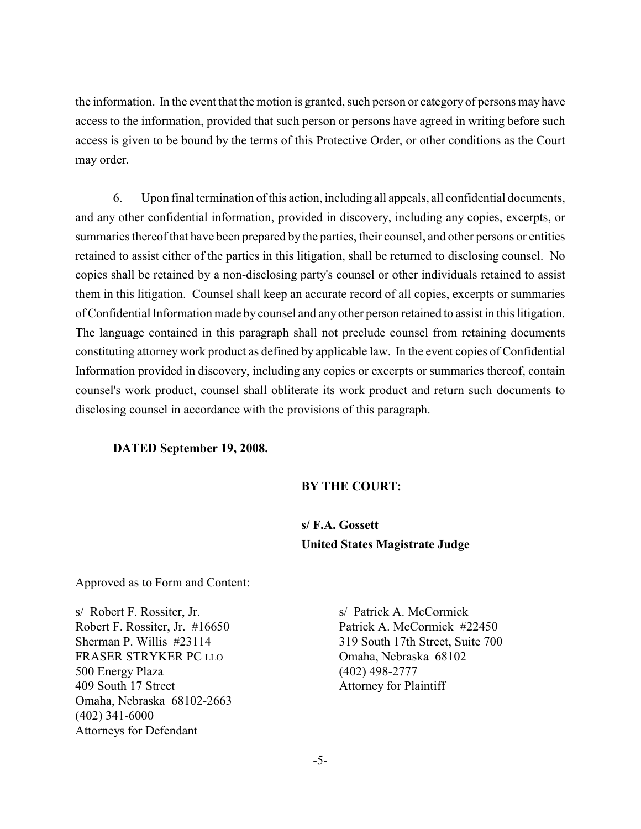the information. In the event that the motion is granted, such person or category of persons may have access to the information, provided that such person or persons have agreed in writing before such access is given to be bound by the terms of this Protective Order, or other conditions as the Court may order.

6. Upon final termination of this action, including all appeals, all confidential documents, and any other confidential information, provided in discovery, including any copies, excerpts, or summaries thereof that have been prepared by the parties, their counsel, and other persons or entities retained to assist either of the parties in this litigation, shall be returned to disclosing counsel. No copies shall be retained by a non-disclosing party's counsel or other individuals retained to assist them in this litigation. Counsel shall keep an accurate record of all copies, excerpts or summaries of Confidential Information made by counsel and any other person retained to assist in this litigation. The language contained in this paragraph shall not preclude counsel from retaining documents constituting attorney work product as defined by applicable law. In the event copies of Confidential Information provided in discovery, including any copies or excerpts or summaries thereof, contain counsel's work product, counsel shall obliterate its work product and return such documents to disclosing counsel in accordance with the provisions of this paragraph.

#### **DATED September 19, 2008.**

#### **BY THE COURT:**

**s/ F.A. Gossett United States Magistrate Judge**

Approved as to Form and Content:

s/ Robert F. Rossiter, Jr. s/ Patrick A. McCormick FRASER STRYKER PC LLO<br>
Omaha, Nebraska 68102 500 Energy Plaza (402) 498-2777 409 South 17 Street Attorney for Plaintiff Omaha, Nebraska 68102-2663 (402) 341-6000 Attorneys for Defendant

Robert F. Rossiter, Jr. #16650 Patrick A. McCormick #22450 Sherman P. Willis #23114 319 South 17th Street, Suite 700